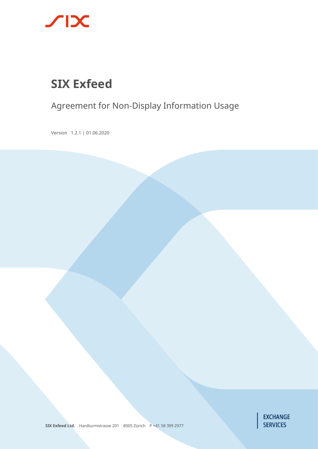

# **SIX Exfeed**

# Agreement for Non-Display Information Usage

Version 1.2.1 | 01.06.2020



**SIX Exfeed Ltd.** Hardturmstrasse 201 8005 Zürich P +41 58 399 2977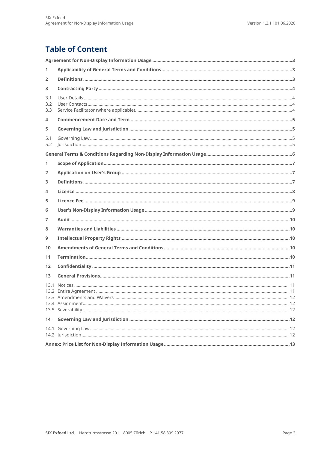# **Table of Content**

| 1                 |  |
|-------------------|--|
| 2                 |  |
| 3                 |  |
| 3.1<br>3.2<br>3.3 |  |
| 4                 |  |
| 5                 |  |
| 5.1<br>5.2        |  |
|                   |  |
| 1                 |  |
| 2                 |  |
| 3                 |  |
| 4                 |  |
| 5                 |  |
| 6                 |  |
| 7                 |  |
| 8                 |  |
| 9                 |  |
| 10                |  |
| 11                |  |
| 12                |  |
| 13                |  |
| 13.1              |  |
| 14                |  |
|                   |  |
|                   |  |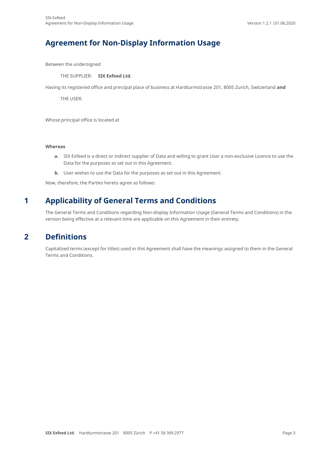### <span id="page-2-0"></span>**Agreement for Non-Display Information Usage**

Between the undersigned

THE SUPPLIER: **SIX Exfeed Ltd.**

Having its registered office and principal place of business at Hardturmstrasse 201, 8005 Zurich, Switzerland **and**

THE USER:

Whose principal office is located at

#### **Whereas**

- **a.** SIX Exfeed is a direct or indirect supplier of Data and willing to grant User a non-exclusive Licence to use the Data for the purposes as set out in this Agreement.
- **b.** User wishes to use the Data for the purposes as set out in this Agreement.

<span id="page-2-1"></span>Now, therefore, the Parties hereto agree as follows:

#### **1 Applicability of General Terms and Conditions**

<span id="page-2-2"></span>The General Terms and Conditions regarding Non-display Information Usage (General Terms and Conditions) in the version being effective at a relevant time are applicable on this Agreement in their entirety.

#### **2 Definitions**

Capitalized terms (except for titles) used in this Agreement shall have the meanings assigned to them in the General Terms and Conditions.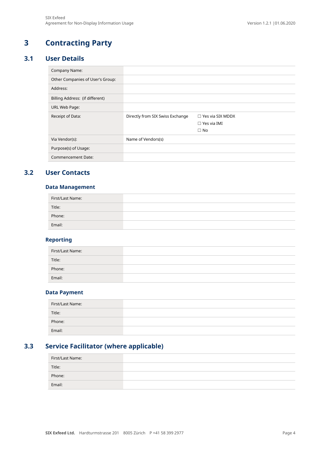# <span id="page-3-0"></span>**3 Contracting Party**

#### **3.1 User Details**

<span id="page-3-1"></span>

| Company Name:                    |                                  |                         |
|----------------------------------|----------------------------------|-------------------------|
| Other Companies of User's Group: |                                  |                         |
| Address:                         |                                  |                         |
| Billing Address: (if different)  |                                  |                         |
| URL Web Page:                    |                                  |                         |
| Receipt of Data:                 | Directly from SIX Swiss Exchange | $\Box$ Yes via SIX MDDX |
|                                  |                                  | $\Box$ Yes via IMI      |
|                                  |                                  | $\Box$ No               |
| Via Vendor(s):                   | Name of Vendors(s)               |                         |
| Purpose(s) of Usage:             |                                  |                         |
| <b>Commencement Date:</b>        |                                  |                         |

#### <span id="page-3-2"></span>**3.2 User Contacts**

#### **Data Management**

| First/Last Name: |  |
|------------------|--|
| Title:           |  |
| Phone:           |  |
| Email:           |  |

#### **Reporting**

| First/Last Name: |  |
|------------------|--|
| Title:           |  |
| Phone:           |  |
| Email:           |  |

#### **Data Payment**

| First/Last Name: |  |
|------------------|--|
| Title:           |  |
| Phone:           |  |
| Email:           |  |

### **3.3 Service Facilitator (where applicable)**

<span id="page-3-3"></span>

| First/Last Name: |  |
|------------------|--|
| Title:           |  |
| Phone:           |  |
| Email:           |  |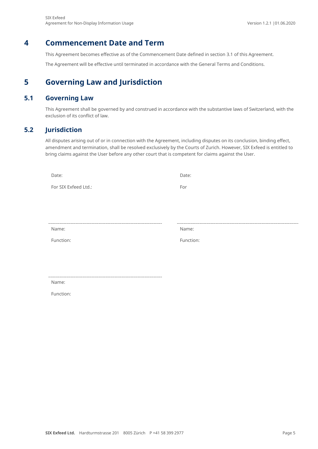#### **4 Commencement Date and Term**

<span id="page-4-0"></span>This Agreement becomes effective as of the Commencement Date defined in sectio[n 3.1](#page-3-1) of this Agreement.

<span id="page-4-1"></span>The Agreement will be effective until terminated in accordance with the General Terms and Conditions.

### **5 Governing Law and Jurisdiction**

#### **5.1 Governing Law**

<span id="page-4-3"></span><span id="page-4-2"></span>This Agreement shall be governed by and construed in accordance with the substantive laws of Switzerland, with the exclusion of its conflict of law.

#### **5.2 Jurisdiction**

All disputes arising out of or in connection with the Agreement, including disputes on its conclusion, binding effect, amendment and termination, shall be resolved exclusively by the Courts of Zurich. However, SIX Exfeed is entitled to bring claims against the User before any other court that is competent for claims against the User.

| Date:                | Date:     |
|----------------------|-----------|
| For SIX Exfeed Ltd.: | For       |
|                      |           |
|                      |           |
|                      |           |
| Name:                | Name:     |
| Function:            | Function: |
|                      |           |

Name:

Function: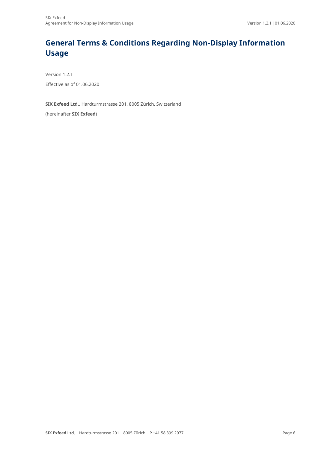# <span id="page-5-0"></span>**General Terms & Conditions Regarding Non-Display Information Usage**

Version 1.2.1 Effective as of 01.06.2020

**SIX Exfeed Ltd.**, Hardturmstrasse 201, 8005 Zürich, Switzerland

(hereinafter **SIX Exfeed**)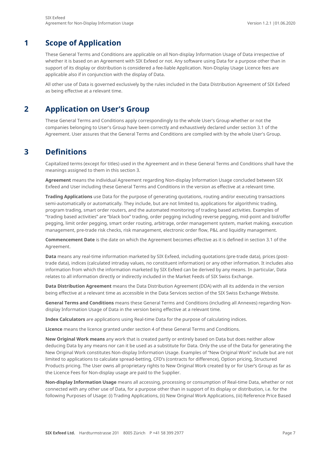### **1 Scope of Application**

<span id="page-6-0"></span>These General Terms and Conditions are applicable on all Non-display Information Usage of Data irrespective of whether it is based on an Agreement with SIX Exfeed or not. Any software using Data for a purpose other than in support of its display or distribution is considered a fee-liable Application. Non-Display Usage Licence fees are applicable also if in conjunction with the display of Data.

<span id="page-6-1"></span>All other use of Data is governed exclusively by the rules included in the Data Distribution Agreement of SIX Exfeed as being effective at a relevant time.

### **2 Application on User's Group**

These General Terms and Conditions apply correspondingly to the whole User's Group whether or not the companies belonging to User's Group have been correctly and exhaustively declared under section [3.1](#page-3-1) of the Agreement. User assures that the General Terms and Conditions are complied with by the whole User's Group.

### **3 Definitions**

<span id="page-6-2"></span>Capitalized terms (except for titles) used in the Agreement and in these General Terms and Conditions shall have the meanings assigned to them in this sectio[n 3.](#page-6-2) 

**Agreement** means the individual Agreement regarding Non-display Information Usage concluded between SIX Exfeed and User including these General Terms and Conditions in the version as effective at a relevant time.

**Trading Applications** use Data for the purpose of generating quotations, routing and/or executing transactions semi-automatically or automatically. They include, but are not limited to, applications for algorithmic trading, program trading, smart order routers, and the automated monitoring of trading based activities. Examples of "trading based activities" are "black box" trading, order pegging including reverse pegging, mid-point and bid/offer pegging, limit order pegging, smart order routing, arbitrage, order management system, market making, execution management, pre-trade risk checks, risk management, electronic order flow, P&L and liquidity management.

**Commencement Date** is the date on which the Agreement becomes effective as it is defined in section [3.1](#page-3-1) of the Agreement.

**Data** means any real-time information marketed by SIX Exfeed, including quotations (pre-trade data), prices (posttrade data), indices (calculated intraday values, no constituent information) or any other information. It includes also information from which the information marketed by SIX Exfeed can be derived by any means. In particular, Data relates to all information directly or indirectly included in the Market Feeds of SIX Swiss Exchange.

**Data Distribution Agreement** means the Data Distribution Agreement (DDA) with all its addenda in the version being effective at a relevant time as accessible in the Data Services section of the SIX Swiss Exchange Website.

**General Terms and Conditions** means these General Terms and Conditions (including all Annexes) regarding Nondisplay Information Usage of Data in the version being effective at a relevant time.

**Index Calculators** are applications using Real-time Data for the purpose of calculating indices.

**Licence** means the licence granted under section [4](#page-7-0) of these General Terms and Conditions.

**New Original Work means** any work that is created partly or entirely based on Data but does neither allow deducing Data by any means nor can it be used as a substitute for Data. Only the use of the Data for generating the New Original Work constitutes Non-display Information Usage. Examples of "New Original Work" include but are not limited to applications to calculate spread-betting, CFD's (contracts for difference), Option pricing, Structured Products pricing. The User owns all proprietary rights to New Original Work created by or for User's Group as far as the Licence Fees for Non-display usage are paid to the Supplier.

**Non-display Information Usage** means all accessing, processing or consumption of Real-time Data, whether or not connected with any other use of Data, for a purpose other than in support of its display or distribution, i.e. for the following Purposes of Usage: (i) Trading Applications, (ii) New Original Work Applications, (iii) Reference Price Based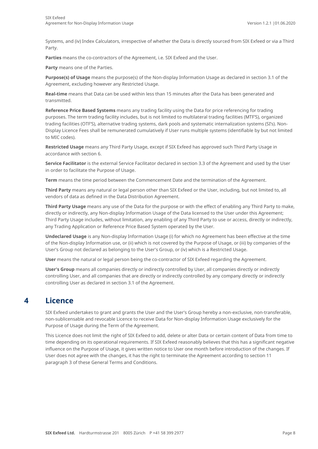Systems, and (iv) Index Calculators, irrespective of whether the Data is directly sourced from SIX Exfeed or via a Third Party.

**Parties** means the co-contractors of the Agreement, i.e. SIX Exfeed and the User.

**Party** means one of the Parties.

**Purpose(s) of Usage** means the purpose(s) of the Non-display Information Usage as declared in sectio[n 3.1](#page-3-1) of the Agreement, excluding however any Restricted Usage.

**Real-time** means that Data can be used within less than 15 minutes after the Data has been generated and transmitted.

**Reference Price Based Systems** means any trading facility using the Data for price referencing for trading purposes. The term trading facility includes, but is not limited to multilateral trading facilities (MTF'S), organized trading facilities (OTF'S), alternative trading systems, dark pools and systematic internalization systems (SI's). Non-Display Licence Fees shall be remunerated cumulatively if User runs multiple systems (identifiable by but not limited to MIC codes).

**Restricted Usage** means any Third Party Usage, except if SIX Exfeed has approved such Third Party Usage in accordance with section [6.](#page-8-1)

**Service Facilitator** is the external Service Facilitator declared in section [3.3](#page-3-3) of the Agreement and used by the User in order to facilitate the Purpose of Usage.

**Term** means the time period between the Commencement Date and the termination of the Agreement.

**Third Party** means any natural or legal person other than SIX Exfeed or the User, including, but not limited to, all vendors of data as defined in the Data Distribution Agreement.

**Third Party Usage** means any use of the Data for the purpose or with the effect of enabling any Third Party to make, directly or indirectly, any Non-display Information Usage of the Data licensed to the User under this Agreement; Third Party Usage includes, without limitation, any enabling of any Third Party to use or access, directly or indirectly, any Trading Application or Reference Price Based System operated by the User.

**Undeclared Usage** is any Non-display Information Usage (i) for which no Agreement has been effective at the time of the Non-display Information use, or (ii) which is not covered by the Purpose of Usage, or (iii) by companies of the User's Group not declared as belonging to the User's Group, or (iv) which is a Restricted Usage.

**User** means the natural or legal person being the co-contractor of SIX Exfeed regarding the Agreement.

**User's Group** means all companies directly or indirectly controlled by User, all companies directly or indirectly controlling User, and all companies that are directly or indirectly controlled by any company directly or indirectly controlling User as declared in sectio[n 3.1](#page-3-1) of the Agreement.

### <span id="page-7-0"></span>**4 Licence**

SIX Exfeed undertakes to grant and grants the User and the User's Group hereby a non-exclusive, non-transferable, non-sublicensable and revocable Licence to receive Data for Non-display Information Usage exclusively for the Purpose of Usage during the Term of the Agreement.

This Licence does not limit the right of SIX Exfeed to add, delete or alter Data or certain content of Data from time to time depending on its operational requirements. If SIX Exfeed reasonably believes that this has a significant negative influence on the Purpose of Usage, it gives written notice to User one month before introduction of the changes. If User does not agree with the changes, it has the right to terminate the Agreement according to section [11](#page-9-4) paragraph 3 of these General Terms and Conditions.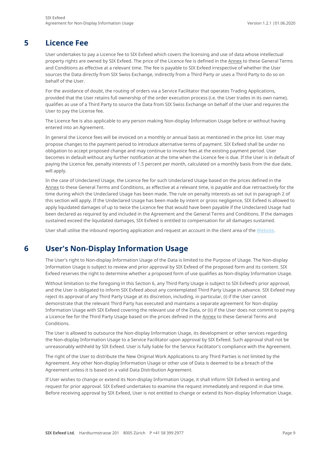### **5 Licence Fee**

<span id="page-8-0"></span>User undertakes to pay a Licence fee to SIX Exfeed which covers the licensing and use of data whose intellectual property rights are owned by SIX Exfeed. The price of the Licence fee is defined in the Annex to these General Terms and Conditions as effective at a relevant time. The fee is payable to SIX Exfeed irrespective of whether the User sources the Data directly from SIX Swiss Exchange, indirectly from a Third Party or uses a Third Party to do so on behalf of the User.

For the avoidance of doubt, the routing of orders via a Service Facilitator that operates Trading Applications, provided that the User retains full ownership of the order execution process (i.e. the User trades in its own name), qualifies as use of a Third Party to source the Data from SIX Swiss Exchange on behalf of the User and requires the User to pay the License fee.

The Licence fee is also applicable to any person making Non-display Information Usage before or without having entered into an Agreement.

In general the Licence fees will be invoiced on a monthly or annual basis as mentioned in the price list. User may propose changes to the payment period to introduce alternative terms of payment. SIX Exfeed shall be under no obligation to accept proposed change and may continue to invoice fees at the existing payment period. User becomes in default without any further notification at the time when the Licence fee is due. If the User is in default of paying the Licence fee, penalty interests of 1.5 percent per month, calculated on a monthly basis from the due date, will apply.

In the case of Undeclared Usage, the Licence fee for such Undeclared Usage based on the prices defined in the Annex to these General Terms and Conditions, as effective at a relevant time, is payable and due retroactively for the time during which the Undeclared Usage has been made. The rule on penalty interests as set out in paragraph 2 of this section will apply. If the Undeclared Usage has been made by intent or gross negligence, SIX Exfeed is allowed to apply liquidated damages of up to twice the Licence fee that would have been payable if the Undeclared Usage had been declared as required by and included in the Agreement and the General Terms and Conditions. If the damages sustained exceed the liquidated damages, SIX Exfeed is entitled to compensation for all damages sustained.

<span id="page-8-1"></span>User shall utilise the inbound reporting application and request an account in the client area of the [Website.](https://www.exfeed.com/client_area/register.html)

### **6 User's Non-Display Information Usage**

The User's right to Non-display Information Usage of the Data is limited to the Purpose of Usage. The Non-display Information Usage is subject to review and prior approval by SIX Exfeed of the proposed form and its content. SIX Exfeed reserves the right to determine whether a proposed form of use qualifies as Non-display Information Usage.

Without limitation to the foregoing in this Section [6,](#page-8-1) any Third Party Usage is subject to SIX Exfeed's prior approval, and the User is obligated to inform SIX Exfeed about any contemplated Third Party Usage in advance. SIX Exfeed may reject its approval of any Third Party Usage at its discretion, including, in particular, (i) if the User cannot demonstrate that the relevant Third Party has executed and maintains a separate agreement for Non-display Information Usage with SIX Exfeed covering the relevant use of the Data, or (ii) if the User does not commit to paying a Licence fee for the Third Party Usage based on the prices defined in the Annex to these General Terms and Conditions.

The User is allowed to outsource the Non-display Information Usage, its development or other services regarding the Non-display Information Usage to a Service Facilitator upon approval by SIX Exfeed. Such approval shall not be unreasonably withheld by SIX Exfeed. User is fully liable for the Service Facilitator's compliance with the Agreement.

The right of the User to distribute the New Original Work Applications to any Third Parties is not limited by the Agreement. Any other Non-display Information Usage or other use of Data is deemed to be a breach of the Agreement unless it is based on a valid Data Distribution Agreement.

If User wishes to change or extend its Non-display Information Usage, it shall inform SIX Exfeed in writing and request for prior approval. SIX Exfeed undertakes to examine the request immediately and respond in due time. Before receiving approval by SIX Exfeed, User is not entitled to change or extend its Non-display Information Usage.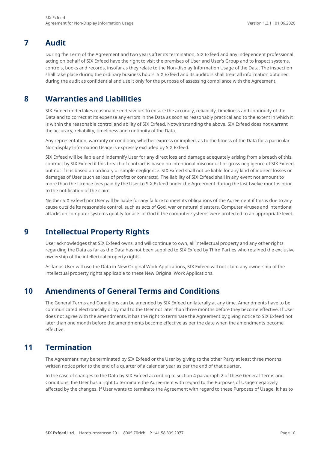### **7 Audit**

<span id="page-9-0"></span>During the Term of the Agreement and two years after its termination, SIX Exfeed and any independent professional acting on behalf of SIX Exfeed have the right to visit the premises of User and User's Group and to inspect systems, controls, books and records, insofar as they relate to the Non-display Information Usage of the Data. The inspection shall take place during the ordinary business hours. SIX Exfeed and its auditors shall treat all information obtained during the audit as confidential and use it only for the purpose of assessing compliance with the Agreement.

### **8 Warranties and Liabilities**

<span id="page-9-1"></span>SIX Exfeed undertakes reasonable endeavours to ensure the accuracy, reliability, timeliness and continuity of the Data and to correct at its expense any errors in the Data as soon as reasonably practical and to the extent in which it is within the reasonable control and ability of SIX Exfeed. Notwithstanding the above, SIX Exfeed does not warrant the accuracy, reliability, timeliness and continuity of the Data.

Any representation, warranty or condition, whether express or implied, as to the fitness of the Data for a particular Non-display Information Usage is expressly excluded by SIX Exfeed.

SIX Exfeed will be liable and indemnify User for any direct loss and damage adequately arising from a breach of this contract by SIX Exfeed if this breach of contract is based on intentional misconduct or gross negligence of SIX Exfeed, but not if it is based on ordinary or simple negligence. SIX Exfeed shall not be liable for any kind of indirect losses or damages of User (such as loss of profits or contracts). The liability of SIX Exfeed shall in any event not amount to more than the Licence fees paid by the User to SIX Exfeed under the Agreement during the last twelve months prior to the notification of the claim.

Neither SIX Exfeed nor User will be liable for any failure to meet its obligations of the Agreement if this is due to any cause outside its reasonable control, such as acts of God, war or natural disasters. Computer viruses and intentional attacks on computer systems qualify for acts of God if the computer systems were protected to an appropriate level.

### <span id="page-9-2"></span>**9 Intellectual Property Rights**

User acknowledges that SIX Exfeed owns, and will continue to own, all intellectual property and any other rights regarding the Data as far as the Data has not been supplied to SIX Exfeed by Third Parties who retained the exclusive ownership of the intellectual property rights.

<span id="page-9-3"></span>As far as User will use the Data in New Original Work Applications, SIX Exfeed will not claim any ownership of the intellectual property rights applicable to these New Original Work Applications.

### **10 Amendments of General Terms and Conditions**

The General Terms and Conditions can be amended by SIX Exfeed unilaterally at any time. Amendments have to be communicated electronically or by mail to the User not later than three months before they become effective. If User does not agree with the amendments, it has the right to terminate the Agreement by giving notice to SIX Exfeed not later than one month before the amendments become effective as per the date when the amendments become effective.

### <span id="page-9-4"></span>**11 Termination**

The Agreement may be terminated by SIX Exfeed or the User by giving to the other Party at least three months written notice prior to the end of a quarter of a calendar year as per the end of that quarter.

In the case of changes to the Data by SIX Exfeed according to section [4](#page-4-0) paragraph 2 of these General Terms and Conditions, the User has a right to terminate the Agreement with regard to the Purposes of Usage negatively affected by the changes. If User wants to terminate the Agreement with regard to these Purposes of Usage, it has to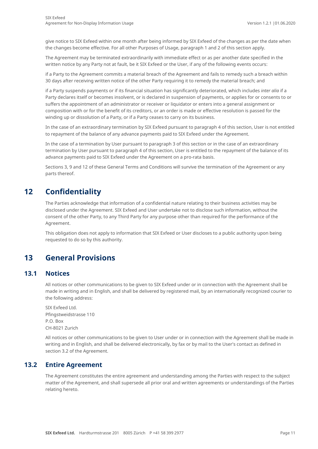give notice to SIX Exfeed within one month after being informed by SIX Exfeed of the changes as per the date when the changes become effective. For all other Purposes of Usage, paragraph 1 and 2 of this section apply.

The Agreement may be terminated extraordinarily with immediate effect or as per another date specified in the written notice by any Party not at fault, be it SIX Exfeed or the User, if any of the following events occurs:

if a Party to the Agreement commits a material breach of the Agreement and fails to remedy such a breach within 30 days after receiving written notice of the other Party requiring it to remedy the material breach; and

if a Party suspends payments or if its financial situation has significantly deteriorated, which includes *inter alia* if a Party declares itself or becomes insolvent, or is declared in suspension of payments, or applies for or consents to or suffers the appointment of an administrator or receiver or liquidator or enters into a general assignment or composition with or for the benefit of its creditors, or an order is made or effective resolution is passed for the winding up or dissolution of a Party, or if a Party ceases to carry on its business.

In the case of an extraordinary termination by SIX Exfeed pursuant to paragraph 4 of this section, User is not entitled to repayment of the balance of any advance payments paid to SIX Exfeed under the Agreement.

In the case of a termination by User pursuant to paragraph 3 of this section or in the case of an extraordinary termination by User pursuant to paragraph 4 of this section, User is entitled to the repayment of the balance of its advance payments paid to SIX Exfeed under the Agreement on a pro-rata basis.

<span id="page-10-0"></span>Section[s 3,](#page-6-2) [9](#page-9-2) an[d 12](#page-10-0) of these General Terms and Conditions will survive the termination of the Agreement or any parts thereof.

### **12 Confidentiality**

The Parties acknowledge that information of a confidential nature relating to their business activities may be disclosed under the Agreement. SIX Exfeed and User undertake not to disclose such information, without the consent of the other Party, to any Third Party for any purpose other than required for the performance of the Agreement.

<span id="page-10-1"></span>This obligation does not apply to information that SIX Exfeed or User discloses to a public authority upon being requested to do so by this authority.

### **13 General Provisions**

#### **13.1 Notices**

<span id="page-10-2"></span>All notices or other communications to be given to SIX Exfeed under or in connection with the Agreement shall be made in writing and in English, and shall be delivered by registered mail, by an internationally recognized courier to the following address:

SIX Exfeed Ltd. Pfingstweidstrasse 110 P.O. Box CH-8021 Zurich

All notices or other communications to be given to User under or in connection with the Agreement shall be made in writing and in English, and shall be delivered electronically, by fax or by mail to the User's contact as defined in section [3.2](#page-3-2) of the Agreement.

#### **13.2 Entire Agreement**

<span id="page-10-3"></span>The Agreement constitutes the entire agreement and understanding among the Parties with respect to the subject matter of the Agreement, and shall supersede all prior oral and written agreements or understandings of the Parties relating hereto.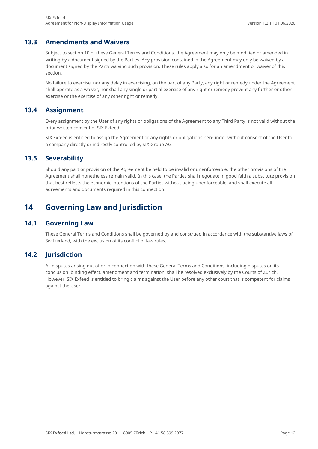#### **13.3 Amendments and Waivers**

<span id="page-11-0"></span>Subject to section [10](#page-9-3) of these General Terms and Conditions, the Agreement may only be modified or amended in writing by a document signed by the Parties. Any provision contained in the Agreement may only be waived by a document signed by the Party waiving such provision. These rules apply also for an amendment or waiver of this section.

No failure to exercise, nor any delay in exercising, on the part of any Party, any right or remedy under the Agreement shall operate as a waiver, nor shall any single or partial exercise of any right or remedy prevent any further or other exercise or the exercise of any other right or remedy.

#### **13.4 Assignment**

<span id="page-11-1"></span>Every assignment by the User of any rights or obligations of the Agreement to any Third Party is not valid without the prior written consent of SIX Exfeed.

<span id="page-11-2"></span>SIX Exfeed is entitled to assign the Agreement or any rights or obligations hereunder without consent of the User to a company directly or indirectly controlled by SIX Group AG.

#### **13.5 Severability**

Should any part or provision of the Agreement be held to be invalid or unenforceable, the other provisions of the Agreement shall nonetheless remain valid. In this case, the Parties shall negotiate in good faith a substitute provision that best reflects the economic intentions of the Parties without being unenforceable, and shall execute all agreements and documents required in this connection.

### <span id="page-11-3"></span>**14 Governing Law and Jurisdiction**

#### **14.1 Governing Law**

<span id="page-11-5"></span><span id="page-11-4"></span>These General Terms and Conditions shall be governed by and construed in accordance with the substantive laws of Switzerland, with the exclusion of its conflict of law rules.

#### **14.2 Jurisdiction**

All disputes arising out of or in connection with these General Terms and Conditions, including disputes on its conclusion, binding effect, amendment and termination, shall be resolved exclusively by the Courts of Zurich. However, SIX Exfeed is entitled to bring claims against the User before any other court that is competent for claims against the User.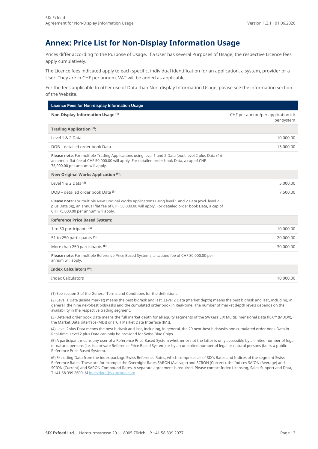## <span id="page-12-0"></span>**Annex: Price List for Non-Display Information Usage**

Prices differ according to the Purpose of Usage. If a User has several Purposes of Usage, the respective Licence fees apply cumulatively.

The Licence fees indicated apply to each specific, individual identification for an application, a system, provider or a User. They are in CHF per annum. VAT will be added as applicable.

For the fees applicable to other use of Data than Non-display Information Usage, please see the information section of the Website.

| Licence Fees for Non-display Information Usage                                                                                                                                                                                                     |                                                 |  |
|----------------------------------------------------------------------------------------------------------------------------------------------------------------------------------------------------------------------------------------------------|-------------------------------------------------|--|
| Non-Display Information Usage (1)                                                                                                                                                                                                                  | CHF per annum/per application id/<br>per system |  |
| Trading Application (6):                                                                                                                                                                                                                           |                                                 |  |
| Level 1 & 2 Data                                                                                                                                                                                                                                   | 10,000.00                                       |  |
| DOB - detailed order book Data                                                                                                                                                                                                                     | 15,000.00                                       |  |
| Please note: For multiple Trading Applications using level 1 and 2 Data (excl. level 2 plus Data (4)),<br>an annual flat fee of CHF 50,000.00 will apply. For detailed order book Data, a cap of CHF<br>75,000.00 per annum will apply.            |                                                 |  |
| New Original Works Application (6):                                                                                                                                                                                                                |                                                 |  |
| Level 1 & 2 Data <sup>(2)</sup>                                                                                                                                                                                                                    | 5,000.00                                        |  |
| DOB - detailed order book Data (3)                                                                                                                                                                                                                 | 7,500.00                                        |  |
| Please note: For multiple New Original Works Applications using level 1 and 2 Data (excl. level 2<br>plus Data (4)), an annual flat fee of CHF 50,000.00 will apply. For detailed order book Data, a cap of<br>CHF 75,000.00 per annum will apply. |                                                 |  |
| <b>Reference Price Based System:</b>                                                                                                                                                                                                               |                                                 |  |
| 1 to 50 participants (5)                                                                                                                                                                                                                           | 10,000.00                                       |  |
| 51 to 250 participants <sup>(5)</sup>                                                                                                                                                                                                              | 20,000.00                                       |  |
| More than 250 participants <sup>(5)</sup>                                                                                                                                                                                                          | 30,000.00                                       |  |
| Please note: For multiple Reference Price Based Systems, a capped fee of CHF 30,000.00 per<br>annum will apply.                                                                                                                                    |                                                 |  |
| Index Calculators (6):                                                                                                                                                                                                                             |                                                 |  |
| <b>Index Calculators</b>                                                                                                                                                                                                                           | 10,000.00                                       |  |
|                                                                                                                                                                                                                                                    |                                                 |  |

(1) See section [3](#page-6-2) of the General Terms and Conditions for the definitions.

(2) Level 1 Data (inside market) means the best bid/ask and last. Level 2 Data (market depth) means the best bid/ask and last, including, in general, the nine next-best bids/asks and the cumulated order book in Real-time. The number of market depth levels depends on the availability in the respective trading segment.

(3) Detailed order book Data means the full market depth for all equity segments of the SWXess SIX MultiDimensional Data fluX™ (MDDX), the Market Data Interface (MDI) or ITCH Market Data Interface (IMI).

(4) Level 2plus Data means the best bid/ask and last, including, in general, the 29 next-best bids/asks and cumulated order book Data in Real-time. Level 2 plus Data can only be provided for Swiss Blue Chips.

(5) A participant means any user of a Reference Price Based System whether or not the latter is only accessible by a limited number of legal or natural persons (i.e. is a private Reference Price Based System) or by an unlimited number of legal or natural persons (i.e. is a public Reference Price Based System).

(6) Excluding Data from the index package Swiss Reference Rates, which comprises all of SIX's Rates and Indices of the segment Swiss Reference Rates. These are for example the Overnight Rates SARON (Average) and SCRON (Current), the Indices SAION (Average) and SCION (Current) and SARON Compound Rates. A separate agreement is required. Please contact Index Licensing, Sales Support and Data, T +41 58 399 2600, M [indexdata@six-group.com](mailto:indexdata@six-group.com)